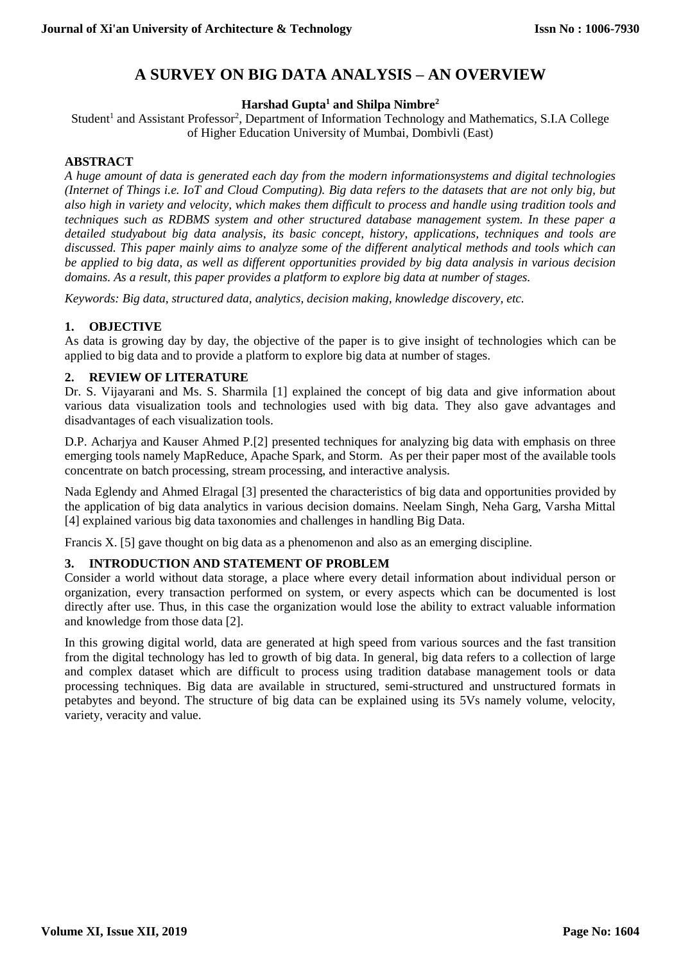# **A SURVEY ON BIG DATA ANALYSIS – AN OVERVIEW**

# **Harshad Gupta<sup>1</sup> and Shilpa Nimbre<sup>2</sup>**

Student<sup>1</sup> and Assistant Professor<sup>2</sup>, Department of Information Technology and Mathematics, S.I.A College of Higher Education University of Mumbai, Dombivli (East)

# **ABSTRACT**

*A huge amount of data is generated each day from the modern informationsystems and digital technologies (Internet of Things i.e. IoT and Cloud Computing). Big data refers to the datasets that are not only big, but also high in variety and velocity, which makes them difficult to process and handle using tradition tools and techniques such as RDBMS system and other structured database management system. In these paper a detailed studyabout big data analysis, its basic concept, history, applications, techniques and tools are discussed. This paper mainly aims to analyze some of the different analytical methods and tools which can be applied to big data, as well as different opportunities provided by big data analysis in various decision domains. As a result, this paper provides a platform to explore big data at number of stages.*

*Keywords: Big data, structured data, analytics, decision making, knowledge discovery, etc.*

# **1. OBJECTIVE**

As data is growing day by day, the objective of the paper is to give insight of technologies which can be applied to big data and to provide a platform to explore big data at number of stages.

# **2. REVIEW OF LITERATURE**

Dr. S. Vijayarani and Ms. S. Sharmila [1] explained the concept of big data and give information about various data visualization tools and technologies used with big data. They also gave advantages and disadvantages of each visualization tools.

D.P. Acharjya and Kauser Ahmed P.[2] presented techniques for analyzing big data with emphasis on three emerging tools namely MapReduce, Apache Spark, and Storm. As per their paper most of the available tools concentrate on batch processing, stream processing, and interactive analysis.

Nada Eglendy and Ahmed Elragal [3] presented the characteristics of big data and opportunities provided by the application of big data analytics in various decision domains. Neelam Singh, Neha Garg, Varsha Mittal [4] explained various big data taxonomies and challenges in handling Big Data.

Francis X. [5] gave thought on big data as a phenomenon and also as an emerging discipline.

# **3. INTRODUCTION AND STATEMENT OF PROBLEM**

Consider a world without data storage, a place where every detail information about individual person or organization, every transaction performed on system, or every aspects which can be documented is lost directly after use. Thus, in this case the organization would lose the ability to extract valuable information and knowledge from those data [2].

In this growing digital world, data are generated at high speed from various sources and the fast transition from the digital technology has led to growth of big data. In general, big data refers to a collection of large and complex dataset which are difficult to process using tradition database management tools or data processing techniques. Big data are available in structured, semi-structured and unstructured formats in petabytes and beyond. The structure of big data can be explained using its 5Vs namely volume, velocity, variety, veracity and value.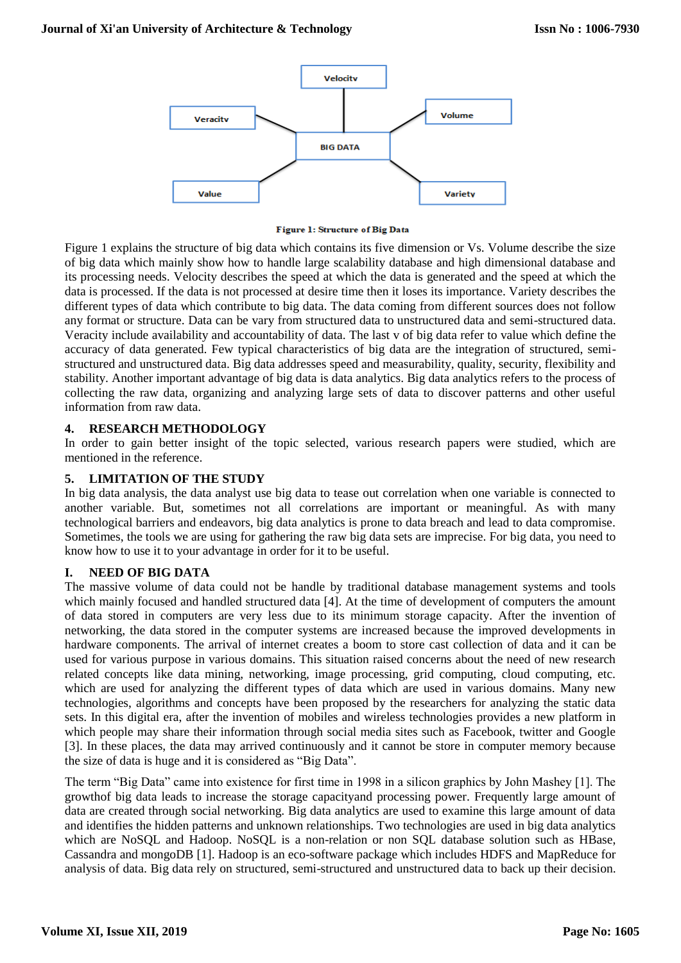

#### Figure 1: Structure of Big Data

Figure 1 explains the structure of big data which contains its five dimension or Vs. Volume describe the size of big data which mainly show how to handle large scalability database and high dimensional database and its processing needs. Velocity describes the speed at which the data is generated and the speed at which the data is processed. If the data is not processed at desire time then it loses its importance. Variety describes the different types of data which contribute to big data. The data coming from different sources does not follow any format or structure. Data can be vary from structured data to unstructured data and semi-structured data. Veracity include availability and accountability of data. The last v of big data refer to value which define the accuracy of data generated. Few typical characteristics of big data are the integration of structured, semistructured and unstructured data. Big data addresses speed and measurability, quality, security, flexibility and stability. Another important advantage of big data is data analytics. Big data analytics refers to the process of collecting the raw data, organizing and analyzing large sets of data to discover patterns and other useful information from raw data.

#### **4. RESEARCH METHODOLOGY**

In order to gain better insight of the topic selected, various research papers were studied, which are mentioned in the reference.

#### **5. LIMITATION OF THE STUDY**

In big data analysis, the data analyst use big data to tease out correlation when one variable is connected to another variable. But, sometimes not all correlations are important or meaningful. As with many technological barriers and endeavors, big data analytics is prone to data breach and lead to data compromise. Sometimes, the tools we are using for gathering the raw big data sets are imprecise. For big data, you need to know how to use it to your advantage in order for it to be useful.

# **I. NEED OF BIG DATA**

The massive volume of data could not be handle by traditional database management systems and tools which mainly focused and handled structured data [4]. At the time of development of computers the amount of data stored in computers are very less due to its minimum storage capacity. After the invention of networking, the data stored in the computer systems are increased because the improved developments in hardware components. The arrival of internet creates a boom to store cast collection of data and it can be used for various purpose in various domains. This situation raised concerns about the need of new research related concepts like data mining, networking, image processing, grid computing, cloud computing, etc. which are used for analyzing the different types of data which are used in various domains. Many new technologies, algorithms and concepts have been proposed by the researchers for analyzing the static data sets. In this digital era, after the invention of mobiles and wireless technologies provides a new platform in which people may share their information through social media sites such as Facebook, twitter and Google [3]. In these places, the data may arrived continuously and it cannot be store in computer memory because the size of data is huge and it is considered as "Big Data".

The term "Big Data" came into existence for first time in 1998 in a silicon graphics by John Mashey [1]. The growthof big data leads to increase the storage capacityand processing power. Frequently large amount of data are created through social networking. Big data analytics are used to examine this large amount of data and identifies the hidden patterns and unknown relationships. Two technologies are used in big data analytics which are NoSQL and Hadoop. NoSQL is a non-relation or non SQL database solution such as HBase, Cassandra and mongoDB [1]. Hadoop is an eco-software package which includes HDFS and MapReduce for analysis of data. Big data rely on structured, semi-structured and unstructured data to back up their decision.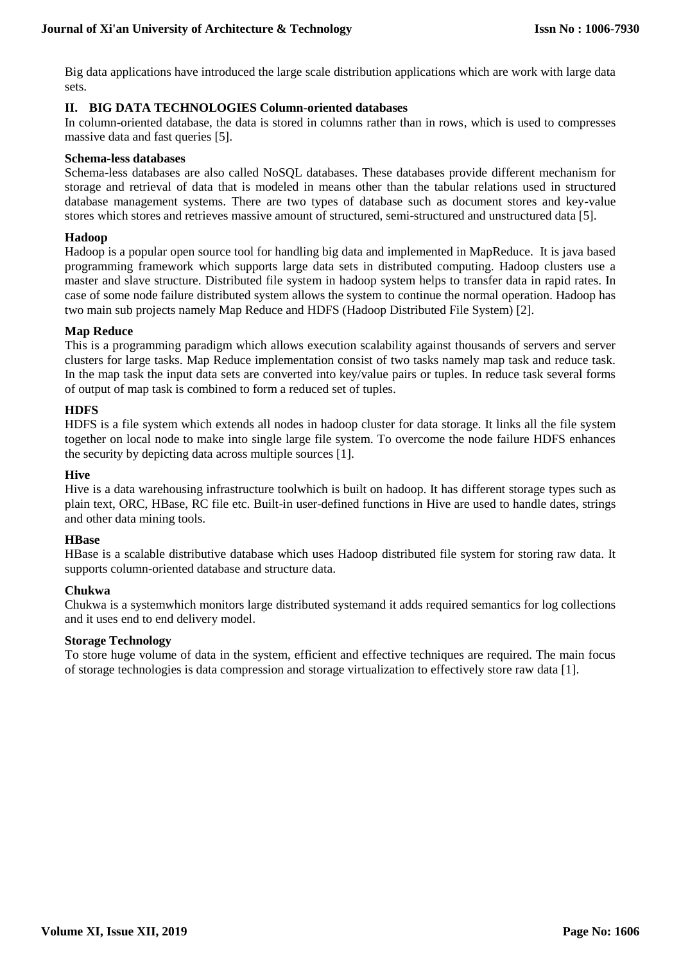Big data applications have introduced the large scale distribution applications which are work with large data sets.

# **II. BIG DATA TECHNOLOGIES Column-oriented databases**

In column-oriented database, the data is stored in columns rather than in rows, which is used to compresses massive data and fast queries [5].

#### **Schema-less databases**

Schema-less databases are also called NoSQL databases. These databases provide different mechanism for storage and retrieval of data that is modeled in means other than the tabular relations used in structured database management systems. There are two types of database such as document stores and key-value stores which stores and retrieves massive amount of structured, semi-structured and unstructured data [5].

#### **Hadoop**

Hadoop is a popular open source tool for handling big data and implemented in MapReduce. It is java based programming framework which supports large data sets in distributed computing. Hadoop clusters use a master and slave structure. Distributed file system in hadoop system helps to transfer data in rapid rates. In case of some node failure distributed system allows the system to continue the normal operation. Hadoop has two main sub projects namely Map Reduce and HDFS (Hadoop Distributed File System) [2].

# **Map Reduce**

This is a programming paradigm which allows execution scalability against thousands of servers and server clusters for large tasks. Map Reduce implementation consist of two tasks namely map task and reduce task. In the map task the input data sets are converted into key/value pairs or tuples. In reduce task several forms of output of map task is combined to form a reduced set of tuples.

# **HDFS**

HDFS is a file system which extends all nodes in hadoop cluster for data storage. It links all the file system together on local node to make into single large file system. To overcome the node failure HDFS enhances the security by depicting data across multiple sources [1].

#### **Hive**

Hive is a data warehousing infrastructure toolwhich is built on hadoop. It has different storage types such as plain text, ORC, HBase, RC file etc. Built-in user-defined functions in Hive are used to handle dates, strings and other data mining tools.

#### **HBase**

HBase is a scalable distributive database which uses Hadoop distributed file system for storing raw data. It supports column-oriented database and structure data.

# **Chukwa**

Chukwa is a systemwhich monitors large distributed systemand it adds required semantics for log collections and it uses end to end delivery model.

#### **Storage Technology**

To store huge volume of data in the system, efficient and effective techniques are required. The main focus of storage technologies is data compression and storage virtualization to effectively store raw data [1].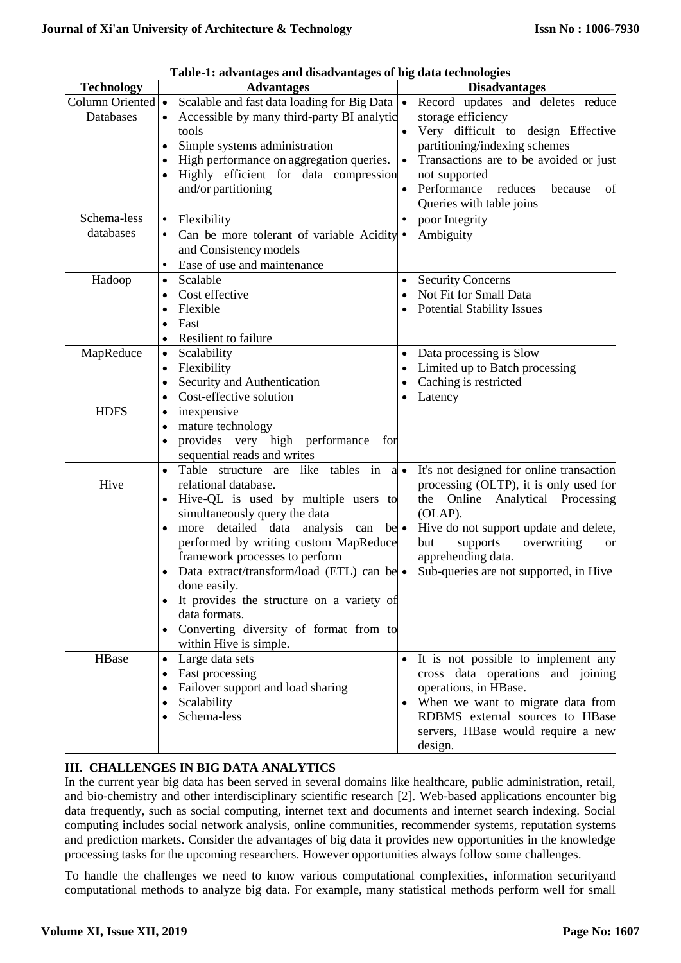|                   | Table-1: advantages and disadvantages of big data technologies |             |                                                                      |  |  |
|-------------------|----------------------------------------------------------------|-------------|----------------------------------------------------------------------|--|--|
| <b>Technology</b> | <b>Advantages</b>                                              |             | <b>Disadvantages</b>                                                 |  |  |
| Column Oriented • | Scalable and fast data loading for Big Data                    | $\bullet$   | Record updates and deletes reduce                                    |  |  |
| Databases         | Accessible by many third-party BI analytic                     |             | storage efficiency                                                   |  |  |
|                   | tools                                                          |             | Very difficult to design Effective                                   |  |  |
|                   | Simple systems administration                                  |             | partitioning/indexing schemes                                        |  |  |
|                   | High performance on aggregation queries.                       | $\bullet$   | Transactions are to be avoided or just                               |  |  |
|                   | Highly efficient for data compression<br>and/or partitioning   |             | not supported<br>Performance<br>reduces                              |  |  |
|                   |                                                                |             | because<br>of<br>Queries with table joins                            |  |  |
| Schema-less       | $\bullet$                                                      | $\bullet$   | poor Integrity                                                       |  |  |
| databases         | Flexibility                                                    |             | Ambiguity                                                            |  |  |
|                   | Can be more tolerant of variable Acidity •                     |             |                                                                      |  |  |
|                   | and Consistency models                                         |             |                                                                      |  |  |
|                   | Ease of use and maintenance                                    |             |                                                                      |  |  |
| Hadoop            | Scalable<br>$\bullet$                                          |             | <b>Security Concerns</b>                                             |  |  |
|                   | Cost effective                                                 | $\bullet$   | Not Fit for Small Data                                               |  |  |
|                   | Flexible<br>Fast                                               |             | <b>Potential Stability Issues</b>                                    |  |  |
|                   | Resilient to failure                                           |             |                                                                      |  |  |
| MapReduce         | Scalability<br>$\bullet$                                       |             | Data processing is Slow                                              |  |  |
|                   | Flexibility                                                    |             | Limited up to Batch processing                                       |  |  |
|                   | Security and Authentication                                    |             | Caching is restricted                                                |  |  |
|                   | Cost-effective solution                                        |             | Latency                                                              |  |  |
| <b>HDFS</b>       | inexpensive<br>$\bullet$                                       |             |                                                                      |  |  |
|                   | mature technology<br>$\bullet$                                 |             |                                                                      |  |  |
|                   | provides very high performance<br>for                          |             |                                                                      |  |  |
|                   | sequential reads and writes                                    |             |                                                                      |  |  |
|                   | Table structure are like tables in<br>$\bullet$                | $a \bullet$ | It's not designed for online transaction                             |  |  |
| Hive              | relational database.                                           |             | processing (OLTP), it is only used for                               |  |  |
|                   | Hive-QL is used by multiple users to                           |             | Online<br>Analytical Processing<br>the                               |  |  |
|                   | simultaneously query the data                                  |             | (OLAP).                                                              |  |  |
|                   | detailed data analysis can be •<br>more<br>$\bullet$           |             | Hive do not support update and delete,                               |  |  |
|                   | performed by writing custom MapReduce                          |             | overwriting<br>but<br>supports<br><sub>or</sub>                      |  |  |
|                   | framework processes to perform                                 |             | apprehending data.                                                   |  |  |
|                   | Data extract/transform/load (ETL) can be $\bullet$             |             | Sub-queries are not supported, in Hive                               |  |  |
|                   | done easily.                                                   |             |                                                                      |  |  |
|                   | It provides the structure on a variety of                      |             |                                                                      |  |  |
|                   | data formats.                                                  |             |                                                                      |  |  |
|                   | Converting diversity of format from to<br>$\bullet$            |             |                                                                      |  |  |
|                   | within Hive is simple.                                         |             |                                                                      |  |  |
| HBase             | Large data sets<br>$\bullet$                                   |             | It is not possible to implement any                                  |  |  |
|                   | Fast processing                                                |             | cross data operations and joining                                    |  |  |
|                   | Failover support and load sharing<br>Scalability               |             | operations, in HBase.                                                |  |  |
|                   | Schema-less                                                    |             | When we want to migrate data from<br>RDBMS external sources to HBase |  |  |
|                   |                                                                |             | servers, HBase would require a new                                   |  |  |
|                   |                                                                |             | design.                                                              |  |  |

| Table-1: advantages and disadvantages of big data technologies |  |  |
|----------------------------------------------------------------|--|--|
|                                                                |  |  |

# **III. CHALLENGES IN BIG DATA ANALYTICS**

In the current year big data has been served in several domains like healthcare, public administration, retail, and bio-chemistry and other interdisciplinary scientific research [2]. Web-based applications encounter big data frequently, such as social computing, internet text and documents and internet search indexing. Social computing includes social network analysis, online communities, recommender systems, reputation systems and prediction markets. Consider the advantages of big data it provides new opportunities in the knowledge processing tasks for the upcoming researchers. However opportunities always follow some challenges.

To handle the challenges we need to know various computational complexities, information securityand computational methods to analyze big data. For example, many statistical methods perform well for small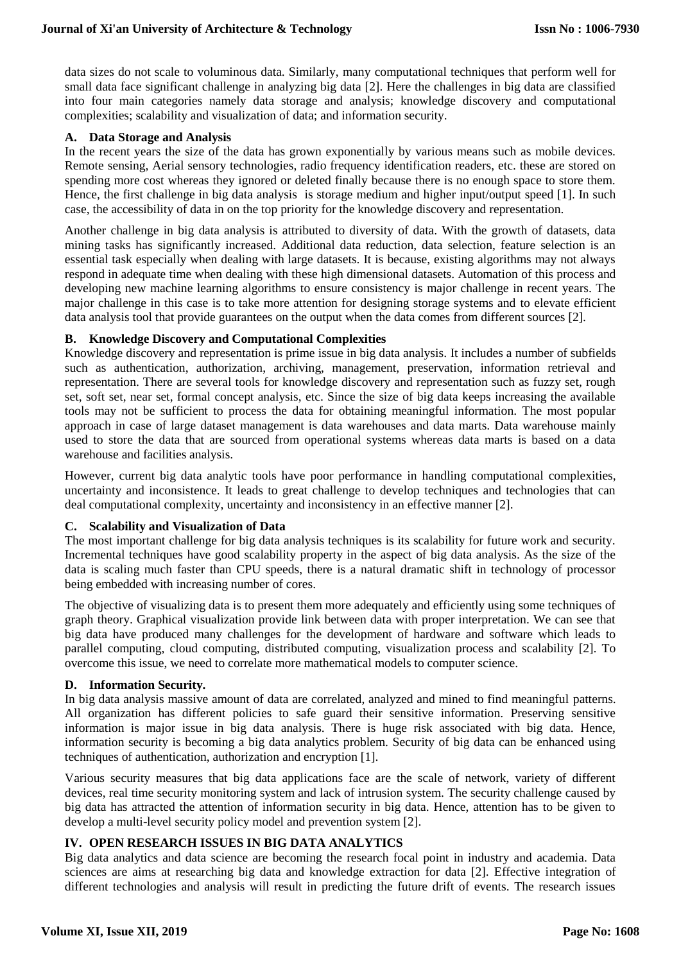data sizes do not scale to voluminous data. Similarly, many computational techniques that perform well for small data face significant challenge in analyzing big data [2]. Here the challenges in big data are classified into four main categories namely data storage and analysis; knowledge discovery and computational complexities; scalability and visualization of data; and information security.

# **A. Data Storage and Analysis**

In the recent years the size of the data has grown exponentially by various means such as mobile devices. Remote sensing, Aerial sensory technologies, radio frequency identification readers, etc. these are stored on spending more cost whereas they ignored or deleted finally because there is no enough space to store them. Hence, the first challenge in big data analysis is storage medium and higher input/output speed [1]. In such case, the accessibility of data in on the top priority for the knowledge discovery and representation.

Another challenge in big data analysis is attributed to diversity of data. With the growth of datasets, data mining tasks has significantly increased. Additional data reduction, data selection, feature selection is an essential task especially when dealing with large datasets. It is because, existing algorithms may not always respond in adequate time when dealing with these high dimensional datasets. Automation of this process and developing new machine learning algorithms to ensure consistency is major challenge in recent years. The major challenge in this case is to take more attention for designing storage systems and to elevate efficient data analysis tool that provide guarantees on the output when the data comes from different sources [2].

#### **B. Knowledge Discovery and Computational Complexities**

Knowledge discovery and representation is prime issue in big data analysis. It includes a number of subfields such as authentication, authorization, archiving, management, preservation, information retrieval and representation. There are several tools for knowledge discovery and representation such as fuzzy set, rough set, soft set, near set, formal concept analysis, etc. Since the size of big data keeps increasing the available tools may not be sufficient to process the data for obtaining meaningful information. The most popular approach in case of large dataset management is data warehouses and data marts. Data warehouse mainly used to store the data that are sourced from operational systems whereas data marts is based on a data warehouse and facilities analysis.

However, current big data analytic tools have poor performance in handling computational complexities, uncertainty and inconsistence. It leads to great challenge to develop techniques and technologies that can deal computational complexity, uncertainty and inconsistency in an effective manner [2].

#### **C. Scalability and Visualization of Data**

The most important challenge for big data analysis techniques is its scalability for future work and security. Incremental techniques have good scalability property in the aspect of big data analysis. As the size of the data is scaling much faster than CPU speeds, there is a natural dramatic shift in technology of processor being embedded with increasing number of cores.

The objective of visualizing data is to present them more adequately and efficiently using some techniques of graph theory. Graphical visualization provide link between data with proper interpretation. We can see that big data have produced many challenges for the development of hardware and software which leads to parallel computing, cloud computing, distributed computing, visualization process and scalability [2]. To overcome this issue, we need to correlate more mathematical models to computer science.

#### **D. Information Security.**

In big data analysis massive amount of data are correlated, analyzed and mined to find meaningful patterns. All organization has different policies to safe guard their sensitive information. Preserving sensitive information is major issue in big data analysis. There is huge risk associated with big data. Hence, information security is becoming a big data analytics problem. Security of big data can be enhanced using techniques of authentication, authorization and encryption [1].

Various security measures that big data applications face are the scale of network, variety of different devices, real time security monitoring system and lack of intrusion system. The security challenge caused by big data has attracted the attention of information security in big data. Hence, attention has to be given to develop a multi-level security policy model and prevention system [2].

# **IV. OPEN RESEARCH ISSUES IN BIG DATA ANALYTICS**

Big data analytics and data science are becoming the research focal point in industry and academia. Data sciences are aims at researching big data and knowledge extraction for data [2]. Effective integration of different technologies and analysis will result in predicting the future drift of events. The research issues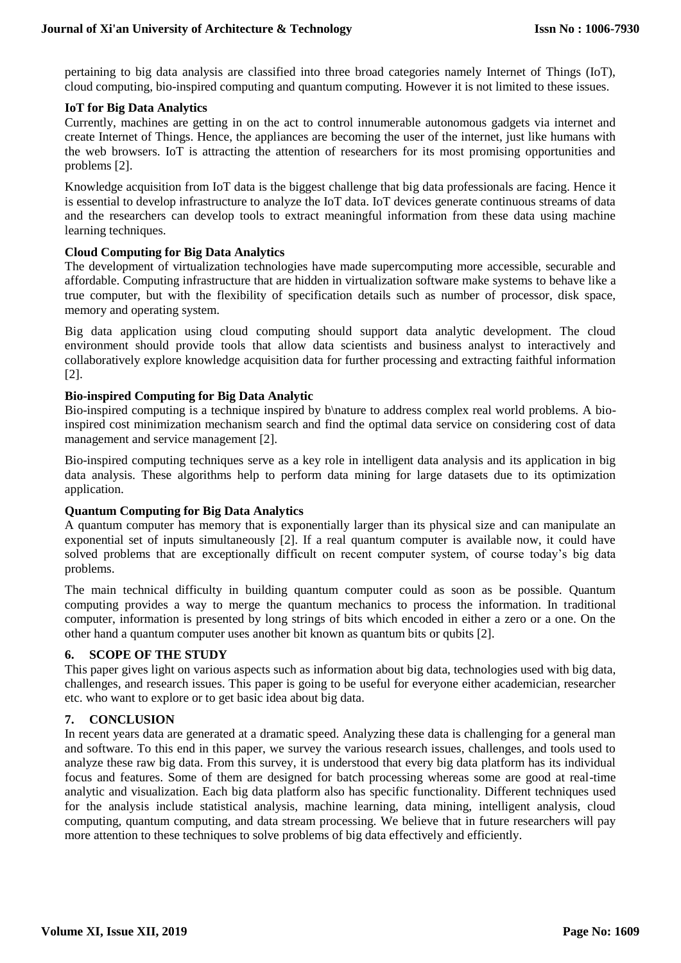pertaining to big data analysis are classified into three broad categories namely Internet of Things (IoT), cloud computing, bio-inspired computing and quantum computing. However it is not limited to these issues.

#### **IoT for Big Data Analytics**

Currently, machines are getting in on the act to control innumerable autonomous gadgets via internet and create Internet of Things. Hence, the appliances are becoming the user of the internet, just like humans with the web browsers. IoT is attracting the attention of researchers for its most promising opportunities and problems [2].

Knowledge acquisition from IoT data is the biggest challenge that big data professionals are facing. Hence it is essential to develop infrastructure to analyze the IoT data. IoT devices generate continuous streams of data and the researchers can develop tools to extract meaningful information from these data using machine learning techniques.

# **Cloud Computing for Big Data Analytics**

The development of virtualization technologies have made supercomputing more accessible, securable and affordable. Computing infrastructure that are hidden in virtualization software make systems to behave like a true computer, but with the flexibility of specification details such as number of processor, disk space, memory and operating system.

Big data application using cloud computing should support data analytic development. The cloud environment should provide tools that allow data scientists and business analyst to interactively and collaboratively explore knowledge acquisition data for further processing and extracting faithful information [2].

# **Bio-inspired Computing for Big Data Analytic**

Bio-inspired computing is a technique inspired by b\nature to address complex real world problems. A bioinspired cost minimization mechanism search and find the optimal data service on considering cost of data management and service management [2].

Bio-inspired computing techniques serve as a key role in intelligent data analysis and its application in big data analysis. These algorithms help to perform data mining for large datasets due to its optimization application.

# **Quantum Computing for Big Data Analytics**

A quantum computer has memory that is exponentially larger than its physical size and can manipulate an exponential set of inputs simultaneously [2]. If a real quantum computer is available now, it could have solved problems that are exceptionally difficult on recent computer system, of course today's big data problems.

The main technical difficulty in building quantum computer could as soon as be possible. Quantum computing provides a way to merge the quantum mechanics to process the information. In traditional computer, information is presented by long strings of bits which encoded in either a zero or a one. On the other hand a quantum computer uses another bit known as quantum bits or qubits [2].

# **6. SCOPE OF THE STUDY**

This paper gives light on various aspects such as information about big data, technologies used with big data, challenges, and research issues. This paper is going to be useful for everyone either academician, researcher etc. who want to explore or to get basic idea about big data.

# **7. CONCLUSION**

In recent years data are generated at a dramatic speed. Analyzing these data is challenging for a general man and software. To this end in this paper, we survey the various research issues, challenges, and tools used to analyze these raw big data. From this survey, it is understood that every big data platform has its individual focus and features. Some of them are designed for batch processing whereas some are good at real-time analytic and visualization. Each big data platform also has specific functionality. Different techniques used for the analysis include statistical analysis, machine learning, data mining, intelligent analysis, cloud computing, quantum computing, and data stream processing. We believe that in future researchers will pay more attention to these techniques to solve problems of big data effectively and efficiently.